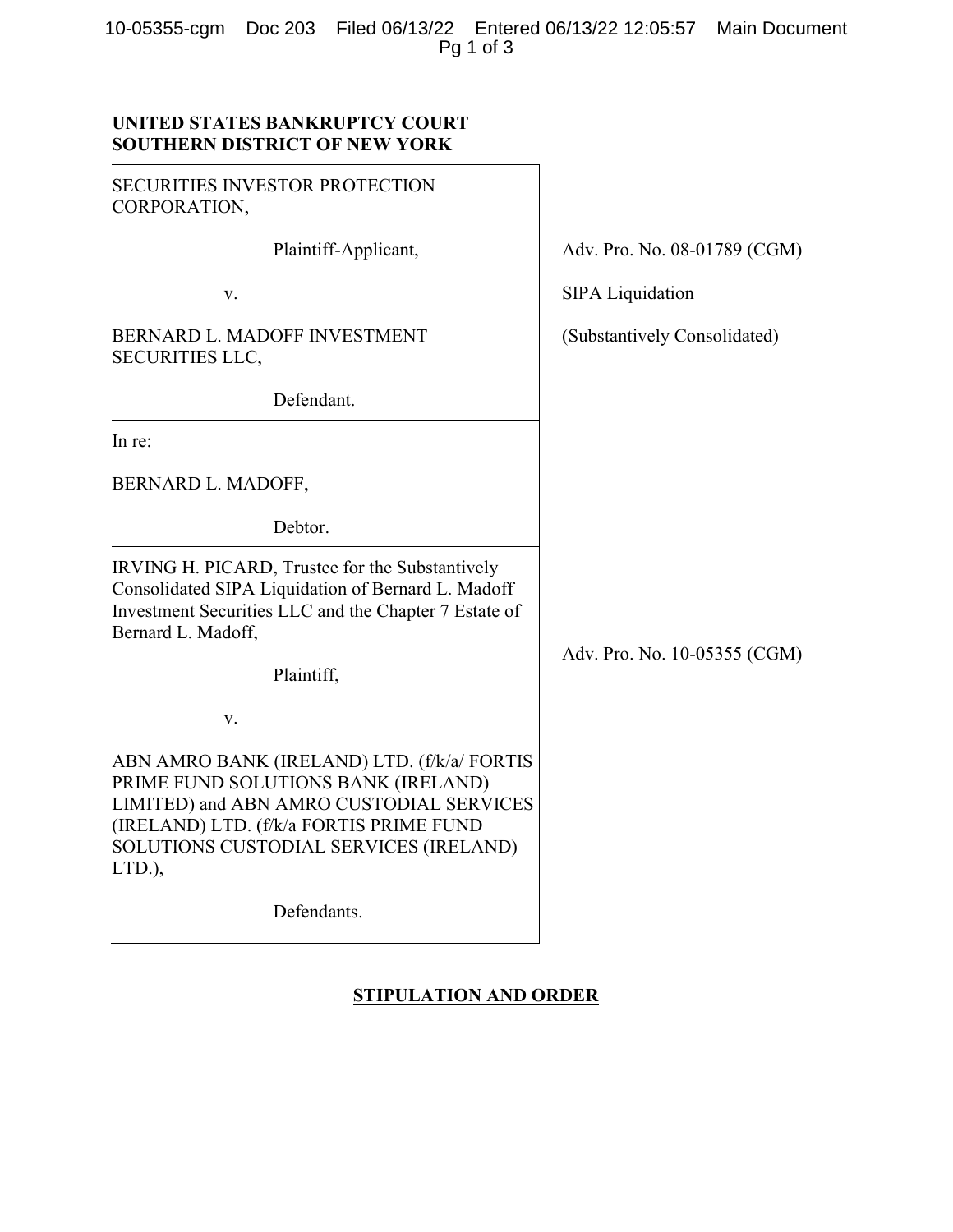10-05355-cgm Doc 203 Filed 06/13/22 Entered 06/13/22 12:05:57 Main Document Pg 1 of 3

## UNITED STATES BANKRUPTCY COURT SOUTHERN DISTRICT OF NEW YORK

| <b>SECURITIES INVESTOR PROTECTION</b><br>CORPORATION,                                                                                                                                                                         |                              |
|-------------------------------------------------------------------------------------------------------------------------------------------------------------------------------------------------------------------------------|------------------------------|
| Plaintiff-Applicant,                                                                                                                                                                                                          | Adv. Pro. No. 08-01789 (CGM) |
| v.                                                                                                                                                                                                                            | <b>SIPA Liquidation</b>      |
| BERNARD L. MADOFF INVESTMENT<br><b>SECURITIES LLC,</b>                                                                                                                                                                        | (Substantively Consolidated) |
| Defendant.                                                                                                                                                                                                                    |                              |
| In re:                                                                                                                                                                                                                        |                              |
| BERNARD L. MADOFF,                                                                                                                                                                                                            |                              |
| Debtor.                                                                                                                                                                                                                       |                              |
| IRVING H. PICARD, Trustee for the Substantively<br>Consolidated SIPA Liquidation of Bernard L. Madoff<br>Investment Securities LLC and the Chapter 7 Estate of<br>Bernard L. Madoff,                                          | Adv. Pro. No. 10-05355 (CGM) |
| Plaintiff,                                                                                                                                                                                                                    |                              |
| v.                                                                                                                                                                                                                            |                              |
| ABN AMRO BANK (IRELAND) LTD. (f/k/a/ FORTIS<br>PRIME FUND SOLUTIONS BANK (IRELAND)<br>LIMITED) and ABN AMRO CUSTODIAL SERVICES<br>(IRELAND) LTD. (f/k/a FORTIS PRIME FUND<br>SOLUTIONS CUSTODIAL SERVICES (IRELAND)<br>LTD.), |                              |
| Defendants.                                                                                                                                                                                                                   |                              |

# STIPULATION AND ORDER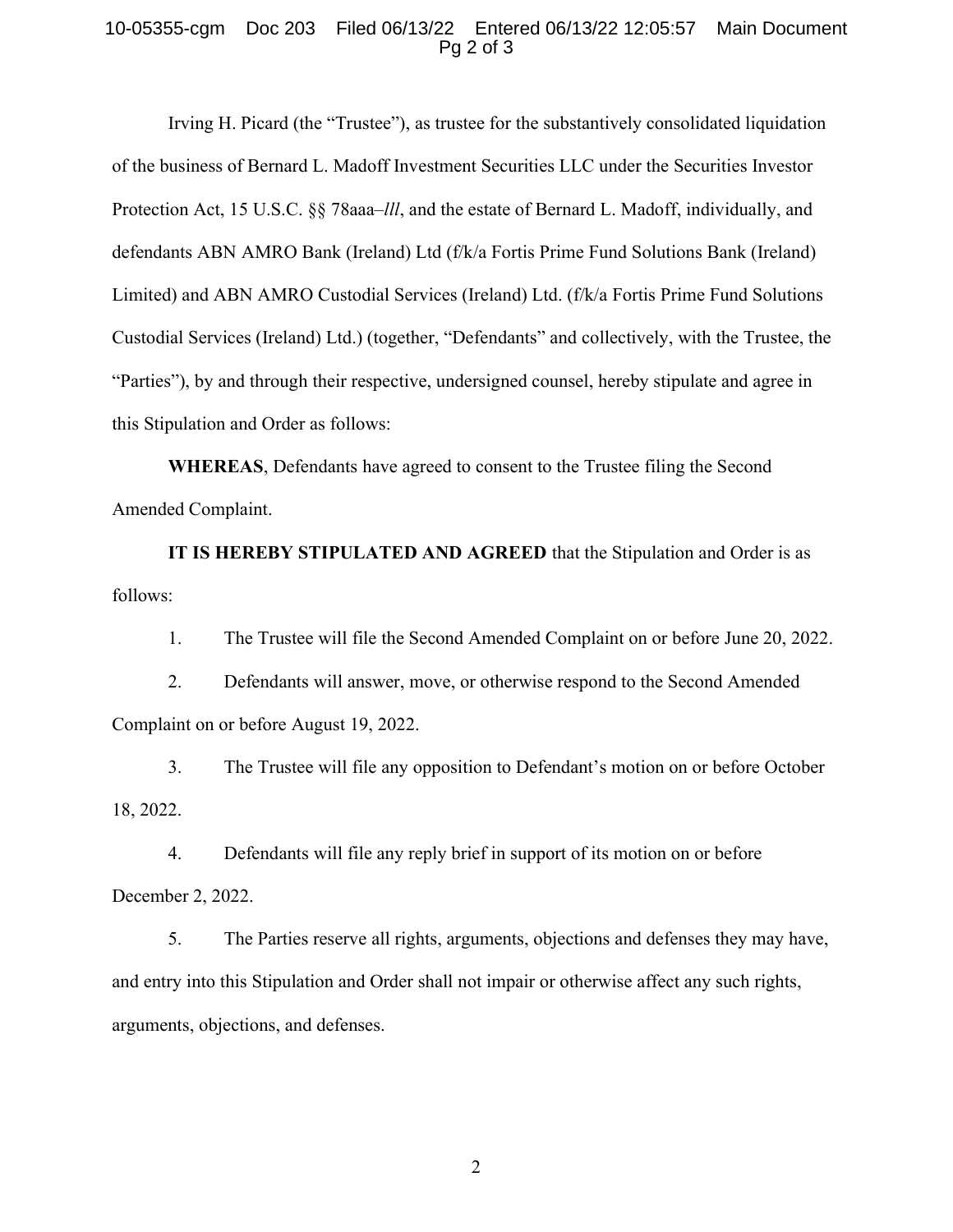#### 10-05355-cgm Doc 203 Filed 06/13/22 Entered 06/13/22 12:05:57 Main Document Pg 2 of 3

Irving H. Picard (the "Trustee"), as trustee for the substantively consolidated liquidation of the business of Bernard L. Madoff Investment Securities LLC under the Securities Investor Protection Act, 15 U.S.C. §§ 78aaa–*lll*, and the estate of Bernard L. Madoff, individually, and defendants ABN AMRO Bank (Ireland) Ltd (f/k/a Fortis Prime Fund Solutions Bank (Ireland) Limited) and ABN AMRO Custodial Services (Ireland) Ltd. (f/k/a Fortis Prime Fund Solutions Custodial Services (Ireland) Ltd.) (together, "Defendants" and collectively, with the Trustee, the "Parties"), by and through their respective, undersigned counsel, hereby stipulate and agree in this Stipulation and Order as follows:

WHEREAS, Defendants have agreed to consent to the Trustee filing the Second Amended Complaint.

IT IS HEREBY STIPULATED AND AGREED that the Stipulation and Order is as follows:

1. The Trustee will file the Second Amended Complaint on or before June 20, 2022.

2. Defendants will answer, move, or otherwise respond to the Second Amended Complaint on or before August 19, 2022.

3. The Trustee will file any opposition to Defendant's motion on or before October 18, 2022.

4. Defendants will file any reply brief in support of its motion on or before December 2, 2022.

5. The Parties reserve all rights, arguments, objections and defenses they may have, and entry into this Stipulation and Order shall not impair or otherwise affect any such rights, arguments, objections, and defenses.

2